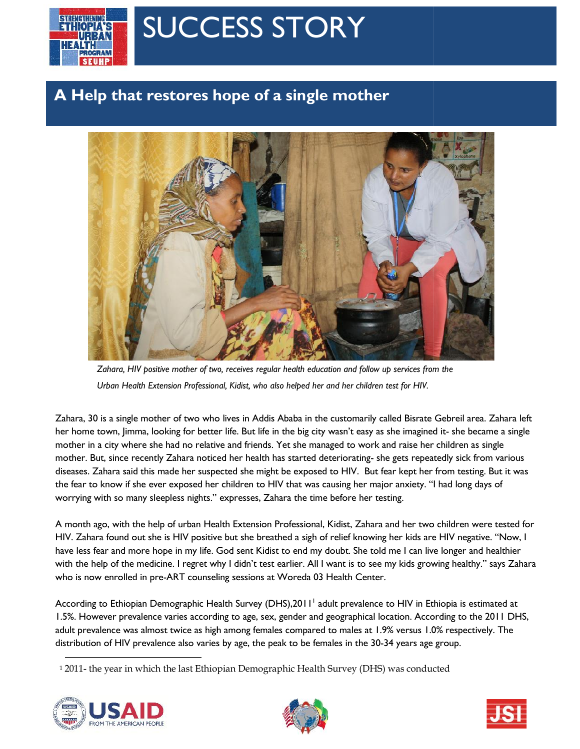

## SUCCESS STORY

## **A Help that restores hope of a single mother**



*Zahara, HIV positive mother of two, receives regular health education and follow up services from the Urban Health Extension Professional, Kidist, who also helped her and her children test for HIV.*

Zahara, 30 is a single mother of two who lives in Addis Ababa in the customarily called Bisrate Gebreil area. Zahara left her home town, Jimma, looking for better life. But life in the big city wasn't easy as she imagined it- she became a single mother in a city where she had no relative and friends. Yet she managed to work and raise her children as single mother. But, since recently Zahara noticed her health has started deteriorating- she gets repeatedly sick from various diseases. Zahara said this made her suspected she might be exposed to HIV. But fear kept her from testing. But it was the fear to know if she ever exposed her children to HIV that was causing her major anxiety. "I had long days of worrying with so many sleepless nights." expresses, Zahara the time before her testing. Zahara, 30 is a single mother of two who lives in Addis Ababa in the customarily called Bisrate Gebreil area. Zahara left<br>her home town, Jimma, looking for better life. But life in the big city wasn't easy as she imagined

A month ago, with the help of urban Health Extension Professional, Kidist, Zahara and her two children were tested for HIV. Zahara found out she is HIV positive but she breathed a sigh of relief knowing her kids are HIV negative. "Now, I have less fear and more hope in my life. God sent Kidist to end my doubt. She told me I can live longer and healthier with the help of the medicine. I regret why I didn't test earlier. All I want is to see my kids growing healthy." says Zahara have less fear and more hope in my life. God sent Kidist to end my doubt. She told me<br>with the help of the medicine. I regret why I didn't test earlier. All I want is to see my k<br>who is now enrolled in pre-ART counseling s

According to Ethiopian Demographic Health Survey (DHS),2011' adult prevalence to HIV in Ethiopia is estimated at 1.5%. However prevalence varies according to age, sex, gender and geographical location. According to the 2011 DHS, adult prevalence was almost twice as high among females compared to males at 1.9% versus 1.0% respectively. The distribution of HIV prevalence also varies by age, the peak to be females in the 30-34 years age group. 1.5%. However prevalence varies according to age, sex, gender and geographical location. According to the 2011 DHS,<br>adult prevalence was almost twice as high among females compared to males at 1.9% versus 1.0% respectively

<sup>1</sup> 2011- the year in which the last Ethiopian Demographic Health Survey (DHS) was conducted